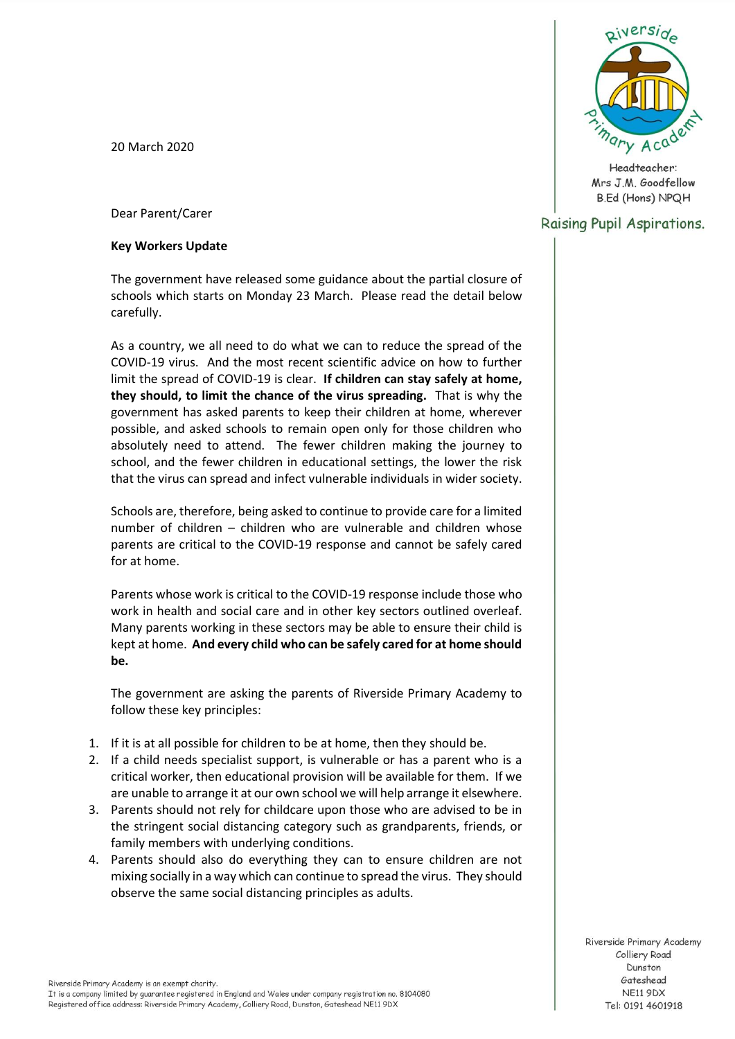20 March 2020



Headteacher: Mrs J.M. Goodfellow **B.Ed (Hons) NPQH** 

# Raising Pupil Aspirations.

Dear Parent/Carer

## **Key Workers Update**

The government have released some guidance about the partial closure of schools which starts on Monday 23 March. Please read the detail below carefully.

As a country, we all need to do what we can to reduce the spread of the COVID-19 virus. And the most recent scientific advice on how to further limit the spread of COVID-19 is clear. **If children can stay safely at home, they should, to limit the chance of the virus spreading.** That is why the government has asked parents to keep their children at home, wherever possible, and asked schools to remain open only for those children who absolutely need to attend. The fewer children making the journey to school, and the fewer children in educational settings, the lower the risk that the virus can spread and infect vulnerable individuals in wider society.

Schools are, therefore, being asked to continue to provide care for a limited number of children – children who are vulnerable and children whose parents are critical to the COVID-19 response and cannot be safely cared for at home.

Parents whose work is critical to the COVID-19 response include those who work in health and social care and in other key sectors outlined overleaf. Many parents working in these sectors may be able to ensure their child is kept at home. **And every child who can be safely cared for at home should be.**

The government are asking the parents of Riverside Primary Academy to follow these key principles:

- 1. If it is at all possible for children to be at home, then they should be.
- 2. If a child needs specialist support, is vulnerable or has a parent who is a critical worker, then educational provision will be available for them. If we are unable to arrange it at our own school we will help arrange it elsewhere.
- 3. Parents should not rely for childcare upon those who are advised to be in the stringent social distancing category such as grandparents, friends, or family members with underlying conditions.
- 4. Parents should also do everything they can to ensure children are not mixing socially in a way which can continue to spread the virus. They should observe the same social distancing principles as adults.

Riverside Primary Academy Colliery Road Dunston Gateshead **NE11 9DX** Tel: 0191 4601918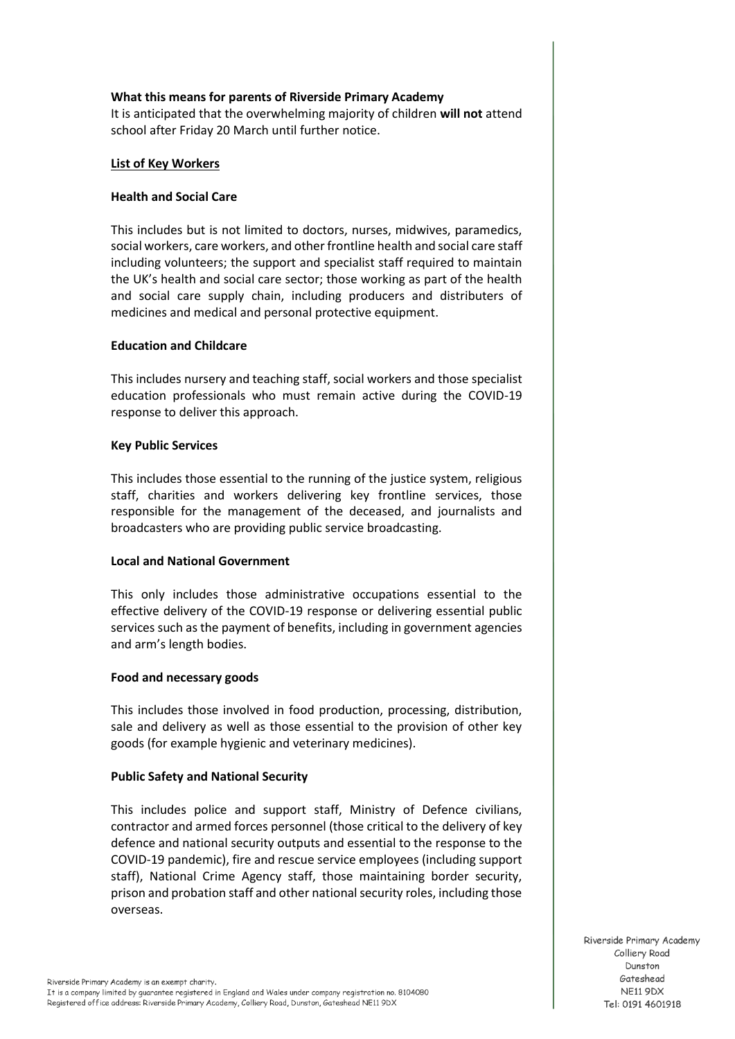## **What this means for parents of Riverside Primary Academy**

It is anticipated that the overwhelming majority of children **will not** attend school after Friday 20 March until further notice.

#### **List of Key Workers**

#### **Health and Social Care**

This includes but is not limited to doctors, nurses, midwives, paramedics, social workers, care workers, and other frontline health and social care staff including volunteers; the support and specialist staff required to maintain the UK's health and social care sector; those working as part of the health and social care supply chain, including producers and distributers of medicines and medical and personal protective equipment.

#### **Education and Childcare**

This includes nursery and teaching staff, social workers and those specialist education professionals who must remain active during the COVID-19 response to deliver this approach.

#### **Key Public Services**

This includes those essential to the running of the justice system, religious staff, charities and workers delivering key frontline services, those responsible for the management of the deceased, and journalists and broadcasters who are providing public service broadcasting.

#### **Local and National Government**

This only includes those administrative occupations essential to the effective delivery of the COVID-19 response or delivering essential public services such as the payment of benefits, including in government agencies and arm's length bodies.

#### **Food and necessary goods**

This includes those involved in food production, processing, distribution, sale and delivery as well as those essential to the provision of other key goods (for example hygienic and veterinary medicines).

#### **Public Safety and National Security**

This includes police and support staff, Ministry of Defence civilians, contractor and armed forces personnel (those critical to the delivery of key defence and national security outputs and essential to the response to the COVID-19 pandemic), fire and rescue service employees (including support staff), National Crime Agency staff, those maintaining border security, prison and probation staff and other national security roles, including those overseas.

Riverside Primary Academy Colliery Road Dunston Gateshead **NE11 9DX** Tel: 0191 4601918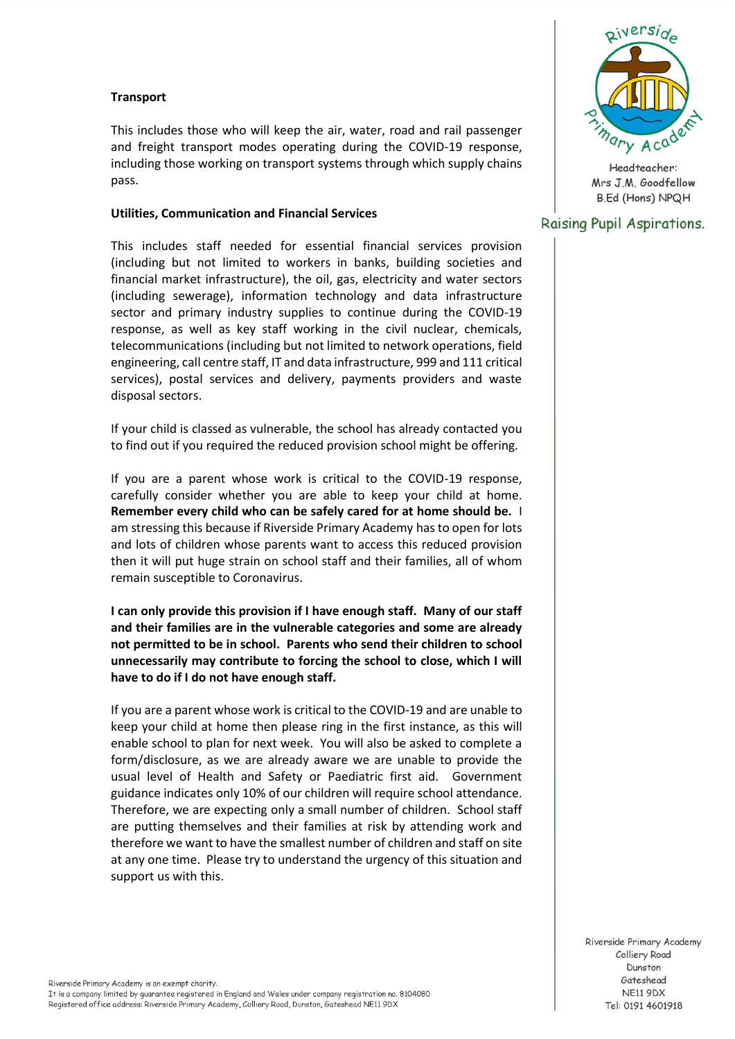## **Transport**

This includes those who will keep the air, water, road and rail passenger and freight transport modes operating during the COVID-19 response, including those working on transport systems through which supply chains pass.

#### **Utilities, Communication and Financial Services**

This includes staff needed for essential financial services provision (including but not limited to workers in banks, building societies and financial market infrastructure), the oil, gas, electricity and water sectors (including sewerage), information technology and data infrastructure sector and primary industry supplies to continue during the COVID-19 response, as well as key staff working in the civil nuclear, chemicals, telecommunications (including but not limited to network operations, field engineering, call centre staff, IT and data infrastructure, 999 and 111 critical services), postal services and delivery, payments providers and waste disposal sectors.

If your child is classed as vulnerable, the school has already contacted you to find out if you required the reduced provision school might be offering.

If you are a parent whose work is critical to the COVID-19 response, carefully consider whether you are able to keep your child at home. **Remember every child who can be safely cared for at home should be.** I am stressing this because if Riverside Primary Academy has to open for lots and lots of children whose parents want to access this reduced provision then it will put huge strain on school staff and their families, all of whom remain susceptible to Coronavirus.

**I can only provide this provision if I have enough staff. Many of our staff and their families are in the vulnerable categories and some are already not permitted to be in school. Parents who send their children to school unnecessarily may contribute to forcing the school to close, which I will have to do if I do not have enough staff.**

If you are a parent whose work is critical to the COVID-19 and are unable to keep your child at home then please ring in the first instance, as this will enable school to plan for next week. You will also be asked to complete a form/disclosure, as we are already aware we are unable to provide the usual level of Health and Safety or Paediatric first aid. Government guidance indicates only 10% of our children will require school attendance. Therefore, we are expecting only a small number of children. School staff are putting themselves and their families at risk by attending work and therefore we want to have the smallest number of children and staff on site at any one time. Please try to understand the urgency of this situation and support us with this.



Headteacher: Mrs J.M. Goodfellow **B.Ed (Hons) NPQH** 

## Raising Pupil Aspirations.

Riverside Primary Academy Colliery Road Dunston Gateshead **NE11 9DX** Tel: 0191 4601918